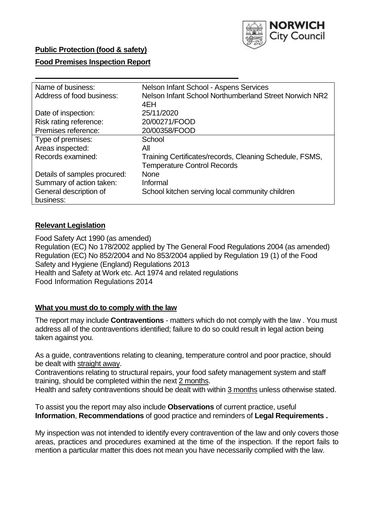

# **Public Protection (food & safety)**

## **Food Premises Inspection Report**

| Name of business:            | Nelson Infant School - Aspens Services                  |  |  |  |  |
|------------------------------|---------------------------------------------------------|--|--|--|--|
| Address of food business:    | Nelson Infant School Northumberland Street Norwich NR2  |  |  |  |  |
|                              | 4EH                                                     |  |  |  |  |
| Date of inspection:          | 25/11/2020                                              |  |  |  |  |
| Risk rating reference:       | 20/00271/FOOD                                           |  |  |  |  |
| Premises reference:          | 20/00358/FOOD                                           |  |  |  |  |
| Type of premises:            | School                                                  |  |  |  |  |
| Areas inspected:             | All                                                     |  |  |  |  |
| Records examined:            | Training Certificates/records, Cleaning Schedule, FSMS, |  |  |  |  |
|                              | <b>Temperature Control Records</b>                      |  |  |  |  |
| Details of samples procured: | <b>None</b>                                             |  |  |  |  |
| Summary of action taken:     | Informal                                                |  |  |  |  |
| General description of       | School kitchen serving local community children         |  |  |  |  |
| business:                    |                                                         |  |  |  |  |

## **Relevant Legislation**

 Food Safety Act 1990 (as amended) Regulation (EC) No 178/2002 applied by The General Food Regulations 2004 (as amended) Regulation (EC) No 852/2004 and No 853/2004 applied by Regulation 19 (1) of the Food Safety and Hygiene (England) Regulations 2013 Health and Safety at Work etc. Act 1974 and related regulations Food Information Regulations 2014

### **What you must do to comply with the law**

 The report may include **Contraventions** - matters which do not comply with the law . You must address all of the contraventions identified; failure to do so could result in legal action being taken against you.

 As a guide, contraventions relating to cleaning, temperature control and poor practice, should be dealt with straight away.

 Contraventions relating to structural repairs, your food safety management system and staff training, should be completed within the next 2 months.

Health and safety contraventions should be dealt with within 3 months unless otherwise stated.

 To assist you the report may also include **Observations** of current practice, useful **Information**, **Recommendations** of good practice and reminders of **Legal Requirements .** 

 My inspection was not intended to identify every contravention of the law and only covers those areas, practices and procedures examined at the time of the inspection. If the report fails to mention a particular matter this does not mean you have necessarily complied with the law.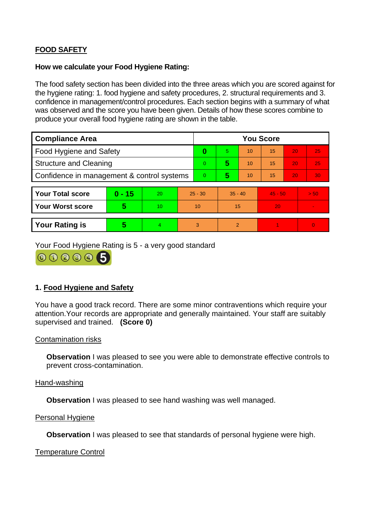# **FOOD SAFETY**

## **How we calculate your Food Hygiene Rating:**

 The food safety section has been divided into the three areas which you are scored against for the hygiene rating: 1. food hygiene and safety procedures, 2. structural requirements and 3. confidence in management/control procedures. Each section begins with a summary of what was observed and the score you have been given. Details of how these scores combine to produce your overall food hygiene rating are shown in the table.

| <b>Compliance Area</b>                     |          |    |           | <b>You Score</b> |                |    |           |    |          |  |  |
|--------------------------------------------|----------|----|-----------|------------------|----------------|----|-----------|----|----------|--|--|
| Food Hygiene and Safety                    |          |    |           | 0                | 5.             | 10 | 15        | 20 | 25       |  |  |
| <b>Structure and Cleaning</b>              |          |    | $\Omega$  | 5                | 10             | 15 | 20        | 25 |          |  |  |
| Confidence in management & control systems |          |    |           | $\Omega$         | 5              | 10 | 15        | 20 | 30       |  |  |
|                                            |          |    |           |                  |                |    |           |    |          |  |  |
| <b>Your Total score</b>                    | $0 - 15$ | 20 | $25 - 30$ |                  | $35 - 40$      |    | $45 - 50$ |    | > 50     |  |  |
| Your Worst score                           | 5        | 10 | 10        |                  | 15             |    | 20        |    |          |  |  |
|                                            |          |    |           |                  |                |    |           |    |          |  |  |
| <b>Your Rating is</b>                      | 5        | 4  | 3         |                  | $\overline{2}$ |    |           |    | $\Omega$ |  |  |

Your Food Hygiene Rating is 5 - a very good standard

000005

# **1. Food Hygiene and Safety**

 You have a good track record. There are some minor contraventions which require your attention.Your records are appropriate and generally maintained. Your staff are suitably supervised and trained. **(Score 0)** 

## Contamination risks

**Observation** I was pleased to see you were able to demonstrate effective controls to prevent cross-contamination.

## Hand-washing

**Observation** I was pleased to see hand washing was well managed.

### Personal Hygiene

**Observation** I was pleased to see that standards of personal hygiene were high.

Temperature Control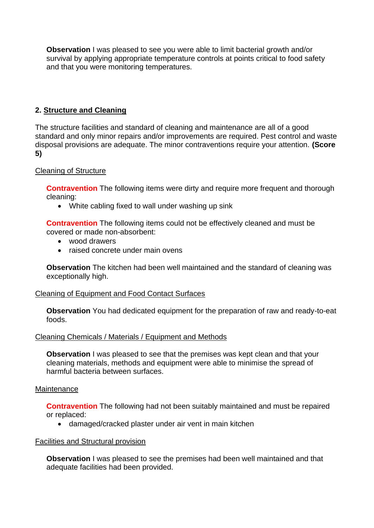**Observation** I was pleased to see you were able to limit bacterial growth and/or survival by applying appropriate temperature controls at points critical to food safety and that you were monitoring temperatures.

# **2. Structure and Cleaning**

 The structure facilities and standard of cleaning and maintenance are all of a good standard and only minor repairs and/or improvements are required. Pest control and waste disposal provisions are adequate. The minor contraventions require your attention. **(Score 5)** 

## Cleaning of Structure

**Contravention** The following items were dirty and require more frequent and thorough cleaning:

• White cabling fixed to wall under washing up sink

 **Contravention** The following items could not be effectively cleaned and must be covered or made non-absorbent:

- wood drawers
- raised concrete under main ovens

 **Observation** The kitchen had been well maintained and the standard of cleaning was exceptionally high.

## Cleaning of Equipment and Food Contact Surfaces

 **Observation** You had dedicated equipment for the preparation of raw and ready-to-eat foods.

### Cleaning Chemicals / Materials / Equipment and Methods

**Observation** I was pleased to see that the premises was kept clean and that your cleaning materials, methods and equipment were able to minimise the spread of harmful bacteria between surfaces.

### **Maintenance**

**Contravention** The following had not been suitably maintained and must be repaired or replaced:

• damaged/cracked plaster under air vent in main kitchen

### Facilities and Structural provision

 **Observation** I was pleased to see the premises had been well maintained and that adequate facilities had been provided.